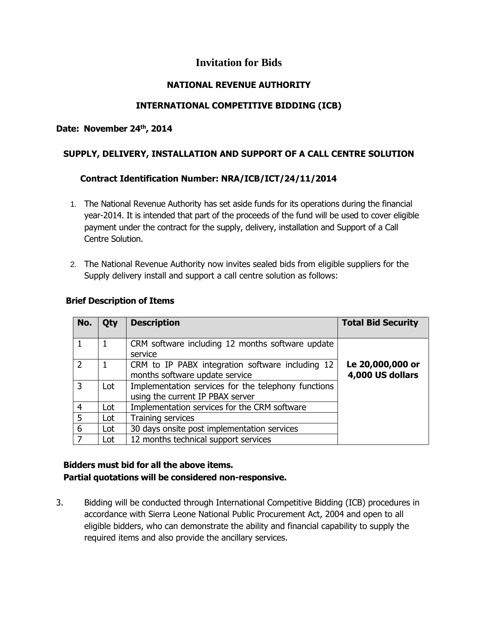# **Invitation for Bids**

### **NATIONAL REVENUE AUTHORITY**

# **INTERNATIONAL COMPETITIVE BIDDING (ICB)**

#### **Date: November 24th , 2014**

### **SUPPLY, DELIVERY, INSTALLATION AND SUPPORT OF A CALL CENTRE SOLUTION**

# **Contract Identification Number: NRA/ICB/ICT/24/11/2014**

- 1. The National Revenue Authority has set aside funds for its operations during the financial year-2014. It is intended that part of the proceeds of the fund will be used to cover eligible payment under the contract for the supply, delivery, installation and Support of a Call Centre Solution.
- 2. The National Revenue Authority now invites sealed bids from eligible suppliers for the Supply delivery install and support a call centre solution as follows:

| rief Description of Items |     |                                                                                         |                                      |
|---------------------------|-----|-----------------------------------------------------------------------------------------|--------------------------------------|
| No.                       | Qty | <b>Description</b>                                                                      | <b>Total Bid Security</b>            |
|                           | 1   | CRM software including 12 months software update<br>service                             |                                      |
| $\overline{2}$            | 1   | CRM to IP PABX integration software including 12<br>months software update service      | Le 20,000,000 or<br>4,000 US dollars |
| $\overline{3}$            | Lot | Implementation services for the telephony functions<br>using the current IP PBAX server |                                      |
| $\overline{4}$            | Lot | Implementation services for the CRM software                                            |                                      |
| $\overline{5}$            | Lot | Training services                                                                       |                                      |
| 6                         | Lot | 30 days onsite post implementation services                                             |                                      |
| 7                         | Lot | 12 months technical support services                                                    |                                      |

#### **Brief Description of Items**

# **Bidders must bid for all the above items. Partial quotations will be considered non-responsive.**

3. Bidding will be conducted through International Competitive Bidding (ICB) procedures in accordance with Sierra Leone National Public Procurement Act, 2004 and open to all eligible bidders, who can demonstrate the ability and financial capability to supply the required items and also provide the ancillary services.